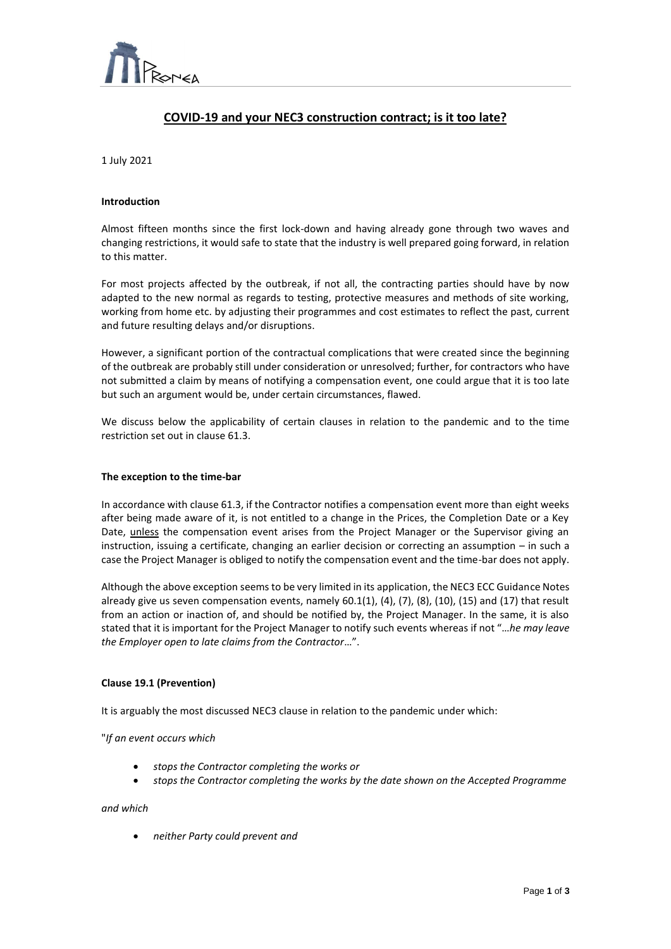

# **COVID-19 and your NEC3 construction contract; is it too late?**

 $\overline{a}$ 

1 July 2021

#### **Introduction**

Almost fifteen months since the first lock-down and having already gone through two waves and changing restrictions, it would safe to state that the industry is well prepared going forward, in relation to this matter.

For most projects affected by the outbreak, if not all, the contracting parties should have by now adapted to the new normal as regards to testing, protective measures and methods of site working, working from home etc. by adjusting their programmes and cost estimates to reflect the past, current and future resulting delays and/or disruptions.

However, a significant portion of the contractual complications that were created since the beginning of the outbreak are probably still under consideration or unresolved; further, for contractors who have not submitted a claim by means of notifying a compensation event, one could argue that it is too late but such an argument would be, under certain circumstances, flawed.

We discuss below the applicability of certain clauses in relation to the pandemic and to the time restriction set out in clause 61.3.

#### **The exception to the time-bar**

In accordance with clause 61.3, if the Contractor notifies a compensation event more than eight weeks after being made aware of it, is not entitled to a change in the Prices, the Completion Date or a Key Date, unless the compensation event arises from the Project Manager or the Supervisor giving an instruction, issuing a certificate, changing an earlier decision or correcting an assumption – in such a case the Project Manager is obliged to notify the compensation event and the time-bar does not apply.

Although the above exception seems to be very limited in its application, the NEC3 ECC Guidance Notes already give us seven compensation events, namely  $60.1(1)$ ,  $(4)$ ,  $(7)$ ,  $(8)$ ,  $(10)$ ,  $(15)$  and  $(17)$  that result from an action or inaction of, and should be notified by, the Project Manager. In the same, it is also stated that it is important for the Project Manager to notify such events whereas if not "…*he may leave the Employer open to late claims from the Contractor*…".

#### **Clause 19.1 (Prevention)**

It is arguably the most discussed NEC3 clause in relation to the pandemic under which:

"*If an event occurs which*

- *stops the Contractor completing the works or*
- *stops the Contractor completing the works by the date shown on the Accepted Programme*

#### *and which*

• *neither Party could prevent and*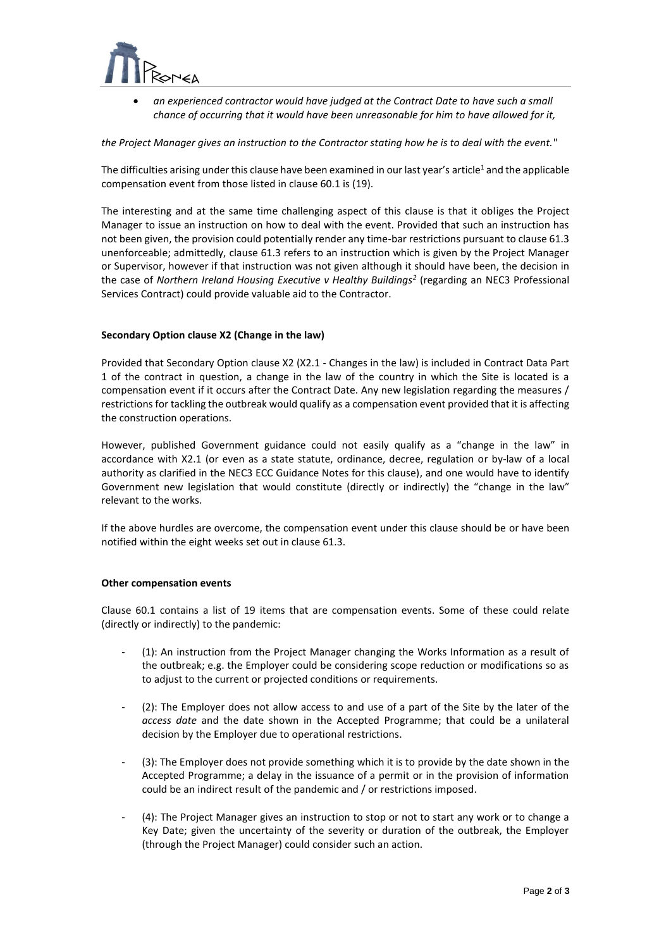

• *an experienced contractor would have judged at the Contract Date to have such a small chance of occurring that it would have been unreasonable for him to have allowed for it,*

 $\overline{a}$ 

*the Project Manager gives an instruction to the Contractor stating how he is to deal with the event.*"

The difficulties arising under this clause have been examined in our last year's article<sup>1</sup> and the applicable compensation event from those listed in clause 60.1 is (19).

The interesting and at the same time challenging aspect of this clause is that it obliges the Project Manager to issue an instruction on how to deal with the event. Provided that such an instruction has not been given, the provision could potentially render any time-bar restrictions pursuant to clause 61.3 unenforceable; admittedly, clause 61.3 refers to an instruction which is given by the Project Manager or Supervisor, however if that instruction was not given although it should have been, the decision in the case of *Northern Ireland Housing Executive v Healthy Buildings<sup>2</sup>* (regarding an NEC3 Professional Services Contract) could provide valuable aid to the Contractor.

### **Secondary Option clause X2 (Change in the law)**

Provided that Secondary Option clause X2 (X2.1 - Changes in the law) is included in Contract Data Part 1 of the contract in question, a change in the law of the country in which the Site is located is a compensation event if it occurs after the Contract Date. Any new legislation regarding the measures / restrictions for tackling the outbreak would qualify as a compensation event provided that it is affecting the construction operations.

However, published Government guidance could not easily qualify as a "change in the law" in accordance with X2.1 (or even as a state statute, ordinance, decree, regulation or by-law of a local authority as clarified in the NEC3 ECC Guidance Notes for this clause), and one would have to identify Government new legislation that would constitute (directly or indirectly) the "change in the law" relevant to the works.

If the above hurdles are overcome, the compensation event under this clause should be or have been notified within the eight weeks set out in clause 61.3.

#### **Other compensation events**

Clause 60.1 contains a list of 19 items that are compensation events. Some of these could relate (directly or indirectly) to the pandemic:

- (1): An instruction from the Project Manager changing the Works Information as a result of the outbreak; e.g. the Employer could be considering scope reduction or modifications so as to adjust to the current or projected conditions or requirements.
- (2): The Employer does not allow access to and use of a part of the Site by the later of the *access date* and the date shown in the Accepted Programme; that could be a unilateral decision by the Employer due to operational restrictions.
- (3): The Employer does not provide something which it is to provide by the date shown in the Accepted Programme; a delay in the issuance of a permit or in the provision of information could be an indirect result of the pandemic and / or restrictions imposed.
- (4): The Project Manager gives an instruction to stop or not to start any work or to change a Key Date; given the uncertainty of the severity or duration of the outbreak, the Employer (through the Project Manager) could consider such an action.